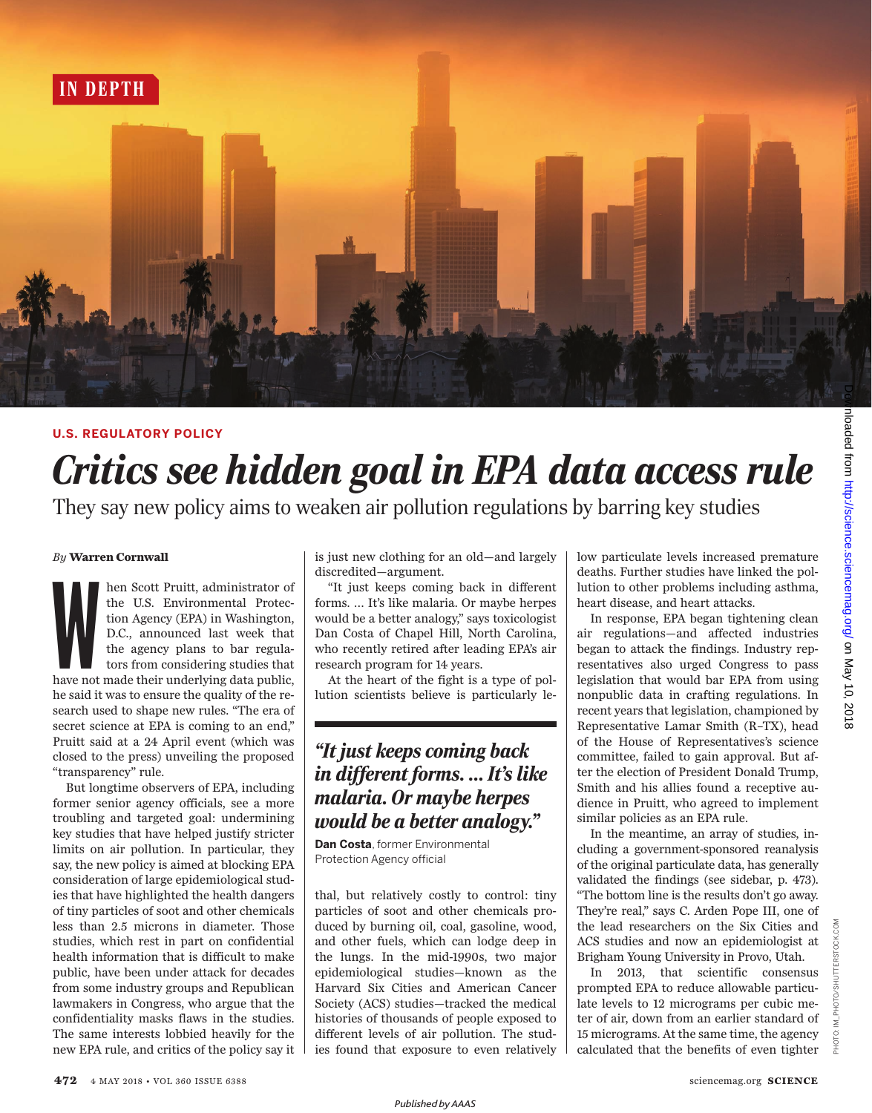

#### **U.S. REGULATORY POLICY**

# *Critics see hidden goal in EPA data access rule* They say new policy aims to weaken air pollution regulations by barring key studies

*By* **Warren Cornwall**

hen Scott Pruitt, administrator of the U.S. Environmental Protection Agency (EPA) in Washington, D.C., announced last week that the agency plans to bar regulators from considering studies that have not made their underlyin hen Scott Pruitt, administrator of the U.S. Environmental Protection Agency (EPA) in Washington, D.C., announced last week that the agency plans to bar regulators from considering studies that he said it was to ensure the quality of the research used to shape new rules. "The era of secret science at EPA is coming to an end," Pruitt said at a 24 April event (which was closed to the press) unveiling the proposed "transparency" rule.

But longtime observers of EPA, including former senior agency officials, see a more troubling and targeted goal: undermining key studies that have helped justify stricter limits on air pollution. In particular, they say, the new policy is aimed at blocking EPA consideration of large epidemiological studies that have highlighted the health dangers of tiny particles of soot and other chemicals less than 2.5 microns in diameter. Those studies, which rest in part on confidential health information that is difficult to make public, have been under attack for decades from some industry groups and Republican lawmakers in Congress, who argue that the confidentiality masks flaws in the studies. The same interests lobbied heavily for the new EPA rule, and critics of the policy say it is just new clothing for an old—and largely discredited—argument.

"It just keeps coming back in different forms. … It's like malaria. Or maybe herpes would be a better analogy," says toxicologist Dan Costa of Chapel Hill, North Carolina, who recently retired after leading EPA's air research program for 14 years.

At the heart of the fight is a type of pollution scientists believe is particularly le-

## *"It just keeps coming back in different forms. … It's like malaria. Or maybe herpes would be a better analogy."*

**Dan Costa**, former Environmental Protection Agency official

thal, but relatively costly to control: tiny particles of soot and other chemicals produced by burning oil, coal, gasoline, wood, and other fuels, which can lodge deep in the lungs. In the mid-1990s, two major epidemiological studies—known as the Harvard Six Cities and American Cancer Society (ACS) studies—tracked the medical histories of thousands of people exposed to different levels of air pollution. The studies found that exposure to even relatively low particulate levels increased premature deaths. Further studies have linked the pollution to other problems including asthma, heart disease, and heart attacks.

In response, EPA began tightening clean air regulations—and affected industries began to attack the findings. Industry representatives also urged Congress to pass legislation that would bar EPA from using nonpublic data in crafting regulations. In recent years that legislation, championed by Representative Lamar Smith (R–TX), head of the House of Representatives's science committee, failed to gain approval. But after the election of President Donald Trump, Smith and his allies found a receptive audience in Pruitt, who agreed to implement similar policies as an EPA rule.

In the meantime, an array of studies, including a government-sponsored reanalysis of the original particulate data, has generally validated the findings (see sidebar, p. 473). "The bottom line is the results don't go away. They're real," says C. Arden Pope III, one of the lead researchers on the Six Cities and ACS studies and now an epidemiologist at Brigham Young University in Provo, Utah.

In 2013, that scientific consensus prompted EPA to reduce allowable particulate levels to 12 micrograms per cubic meter of air, down from an earlier standard of 15 micrograms. At the same time, the agency calculated that the benefits of even tighter PHOTO: IM\_PHOTO/SHUTTERSTOCK.COM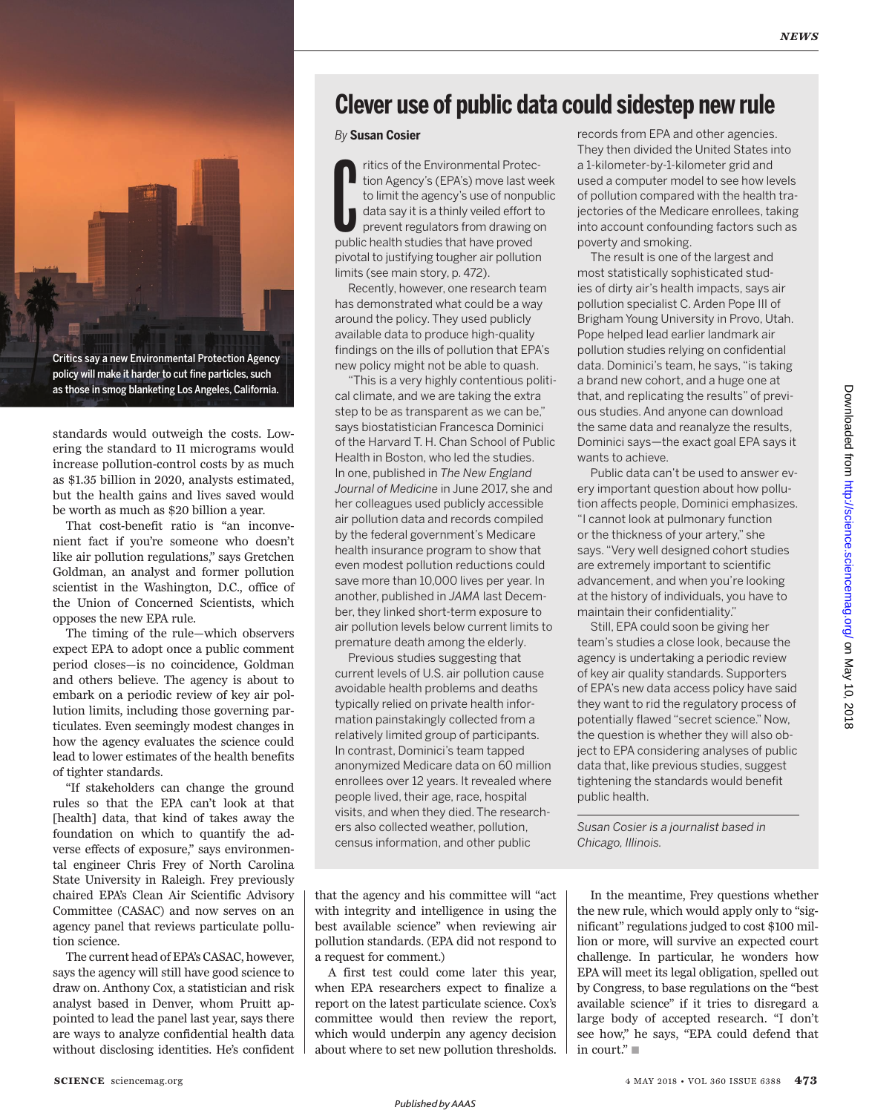

policy will make it harder to cut fine particles, such as those in smog blanketing Los Angeles, California.

standards would outweigh the costs. Lowering the standard to 11 micrograms would increase pollution-control costs by as much as \$1.35 billion in 2020, analysts estimated, but the health gains and lives saved would be worth as much as \$20 billion a year.

That cost-benefit ratio is "an inconvenient fact if you're someone who doesn't like air pollution regulations," says Gretchen Goldman, an analyst and former pollution scientist in the Washington, D.C., office of the Union of Concerned Scientists, which opposes the new EPA rule.

The timing of the rule—which observers expect EPA to adopt once a public comment period closes—is no coincidence, Goldman and others believe. The agency is about to embark on a periodic review of key air pollution limits, including those governing particulates. Even seemingly modest changes in how the agency evaluates the science could lead to lower estimates of the health benefits of tighter standards.

"If stakeholders can change the ground rules so that the EPA can't look at that [health] data, that kind of takes away the foundation on which to quantify the adverse effects of exposure," says environmental engineer Chris Frey of North Carolina State University in Raleigh. Frey previously chaired EPA's Clean Air Scientific Advisory Committee (CASAC) and now serves on an agency panel that reviews particulate pollution science.

The current head of EPA's CASAC, however, says the agency will still have good science to draw on. Anthony Cox, a statistician and risk analyst based in Denver, whom Pruitt appointed to lead the panel last year, says there are ways to analyze confidential health data without disclosing identities. He's confident

## **Clever use of public data could sidestep new rule**

*By* **Susan Cosier**

Tritics of the Environmental Protection Agency's (EPA's) move last w<br>to limit the agency's use of nonpudata say it is a thinly veiled effort<br>prevent regulators from drawing q<br>public health studies that have proved ritics of the Environmental Protection Agency's (EPA's) move last week to limit the agency's use of nonpublic data say it is a thinly veiled effort to prevent regulators from drawing on pivotal to justifying tougher air pollution limits (see main story, p. 472).

Recently, however, one research team has demonstrated what could be a way around the policy. They used publicly available data to produce high-quality findings on the ills of pollution that EPA's new policy might not be able to quash.

"This is a very highly contentious political climate, and we are taking the extra step to be as transparent as we can be," says biostatistician Francesca Dominici of the Harvard T. H. Chan School of Public Health in Boston, who led the studies. In one, published in *The New England Journal of Medicine* in June 2017, she and her colleagues used publicly accessible air pollution data and records compiled by the federal government's Medicare health insurance program to show that even modest pollution reductions could save more than 10,000 lives per year. In another, published in *JAMA* last December, they linked short-term exposure to air pollution levels below current limits to premature death among the elderly.

Previous studies suggesting that current levels of U.S. air pollution cause avoidable health problems and deaths typically relied on private health information painstakingly collected from a relatively limited group of participants. In contrast, Dominici's team tapped anonymized Medicare data on 60 million enrollees over 12 years. It revealed where people lived, their age, race, hospital visits, and when they died. The researchers also collected weather, pollution, census information, and other public

that the agency and his committee will "act with integrity and intelligence in using the best available science" when reviewing air pollution standards. (EPA did not respond to a request for comment.)

A first test could come later this year, when EPA researchers expect to finalize a report on the latest particulate science. Cox's committee would then review the report, which would underpin any agency decision about where to set new pollution thresholds. records from EPA and other agencies. They then divided the United States into a 1-kilometer-by-1-kilometer grid and used a computer model to see how levels of pollution compared with the health trajectories of the Medicare enrollees, taking into account confounding factors such as poverty and smoking.

The result is one of the largest and most statistically sophisticated studies of dirty air's health impacts, says air pollution specialist C. Arden Pope III of Brigham Young University in Provo, Utah. Pope helped lead earlier landmark air pollution studies relying on confidential data. Dominici's team, he says, "is taking a brand new cohort, and a huge one at that, and replicating the results" of previous studies. And anyone can download the same data and reanalyze the results, Dominici says—the exact goal EPA says it wants to achieve.

Public data can't be used to answer every important question about how pollution affects people, Dominici emphasizes. "I cannot look at pulmonary function or the thickness of your artery," she says. "Very well designed cohort studies are extremely important to scientific advancement, and when you're looking at the history of individuals, you have to maintain their confidentiality."

Still, EPA could soon be giving her team's studies a close look, because the agency is undertaking a periodic review of key air quality standards. Supporters of EPA's new data access policy have said they want to rid the regulatory process of potentially flawed "secret science." Now, the question is whether they will also object to EPA considering analyses of public data that, like previous studies, suggest tightening the standards would benefit public health.

*Susan Cosier is a journalist based in Chicago, Illinois.*

In the meantime, Frey questions whether the new rule, which would apply only to "significant" regulations judged to cost \$100 million or more, will survive an expected court challenge. In particular, he wonders how EPA will meet its legal obligation, spelled out by Congress, to base regulations on the "best available science" if it tries to disregard a large body of accepted research. "I don't see how," he says, "EPA could defend that in court." $\blacksquare$